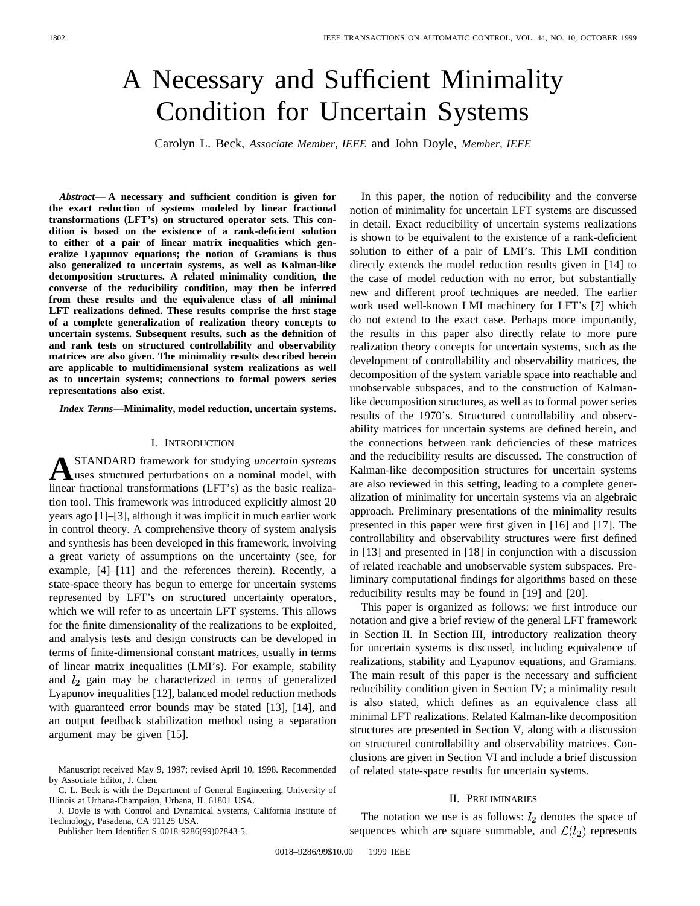# A Necessary and Sufficient Minimality Condition for Uncertain Systems

Carolyn L. Beck, *Associate Member, IEEE* and John Doyle, *Member, IEEE*

*Abstract—* **A necessary and sufficient condition is given for the exact reduction of systems modeled by linear fractional transformations (LFT's) on structured operator sets. This condition is based on the existence of a rank-deficient solution to either of a pair of linear matrix inequalities which generalize Lyapunov equations; the notion of Gramians is thus also generalized to uncertain systems, as well as Kalman-like decomposition structures. A related minimality condition, the converse of the reducibility condition, may then be inferred from these results and the equivalence class of all minimal LFT realizations defined. These results comprise the first stage of a complete generalization of realization theory concepts to uncertain systems. Subsequent results, such as the definition of and rank tests on structured controllability and observability matrices are also given. The minimality results described herein are applicable to multidimensional system realizations as well as to uncertain systems; connections to formal powers series representations also exist.**

*Index Terms—***Minimality, model reduction, uncertain systems.**

#### I. INTRODUCTION

**A**STANDARD framework for studying *uncertain systems* uses structured perturbations on a nominal model, with linear fractional transformations (LFT's) as the basic realization tool. This framework was introduced explicitly almost 20 years ago [1]–[3], although it was implicit in much earlier work in control theory. A comprehensive theory of system analysis and synthesis has been developed in this framework, involving a great variety of assumptions on the uncertainty (see, for example, [4]–[11] and the references therein). Recently, a state-space theory has begun to emerge for uncertain systems represented by LFT's on structured uncertainty operators, which we will refer to as uncertain LFT systems. This allows for the finite dimensionality of the realizations to be exploited, and analysis tests and design constructs can be developed in terms of finite-dimensional constant matrices, usually in terms of linear matrix inequalities (LMI's). For example, stability and  $l_2$  gain may be characterized in terms of generalized Lyapunov inequalities [12], balanced model reduction methods with guaranteed error bounds may be stated [13], [14], and an output feedback stabilization method using a separation argument may be given [15].

C. L. Beck is with the Department of General Engineering, University of Illinois at Urbana-Champaign, Urbana, IL 61801 USA.

J. Doyle is with Control and Dynamical Systems, California Institute of Technology, Pasadena, CA 91125 USA.

Publisher Item Identifier S 0018-9286(99)07843-5.

In this paper, the notion of reducibility and the converse notion of minimality for uncertain LFT systems are discussed in detail. Exact reducibility of uncertain systems realizations is shown to be equivalent to the existence of a rank-deficient solution to either of a pair of LMI's. This LMI condition directly extends the model reduction results given in [14] to the case of model reduction with no error, but substantially new and different proof techniques are needed. The earlier work used well-known LMI machinery for LFT's [7] which do not extend to the exact case. Perhaps more importantly, the results in this paper also directly relate to more pure realization theory concepts for uncertain systems, such as the development of controllability and observability matrices, the decomposition of the system variable space into reachable and unobservable subspaces, and to the construction of Kalmanlike decomposition structures, as well as to formal power series results of the 1970's. Structured controllability and observability matrices for uncertain systems are defined herein, and the connections between rank deficiencies of these matrices and the reducibility results are discussed. The construction of Kalman-like decomposition structures for uncertain systems are also reviewed in this setting, leading to a complete generalization of minimality for uncertain systems via an algebraic approach. Preliminary presentations of the minimality results presented in this paper were first given in [16] and [17]. The controllability and observability structures were first defined in [13] and presented in [18] in conjunction with a discussion of related reachable and unobservable system subspaces. Preliminary computational findings for algorithms based on these reducibility results may be found in [19] and [20].

This paper is organized as follows: we first introduce our notation and give a brief review of the general LFT framework in Section II. In Section III, introductory realization theory for uncertain systems is discussed, including equivalence of realizations, stability and Lyapunov equations, and Gramians. The main result of this paper is the necessary and sufficient reducibility condition given in Section IV; a minimality result is also stated, which defines as an equivalence class all minimal LFT realizations. Related Kalman-like decomposition structures are presented in Section V, along with a discussion on structured controllability and observability matrices. Conclusions are given in Section VI and include a brief discussion of related state-space results for uncertain systems.

# II. PRELIMINARIES

The notation we use is as follows:  $l_2$  denotes the space of sequences which are square summable, and  $\mathcal{L}(l_2)$  represents

Manuscript received May 9, 1997; revised April 10, 1998. Recommended by Associate Editor, J. Chen.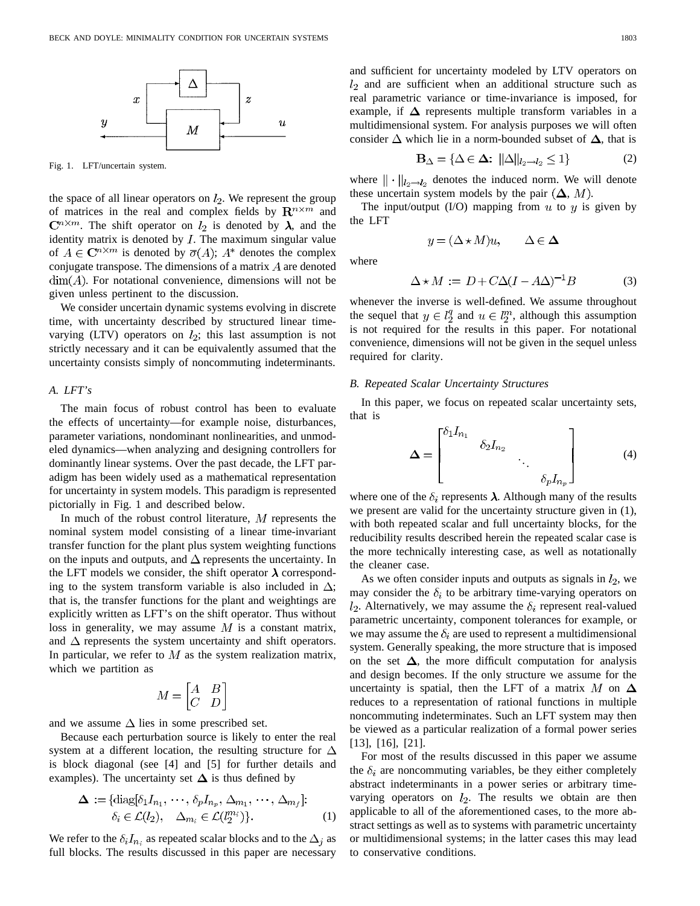

Fig. 1. LFT/uncertain system.

the space of all linear operators on  $l_2$ . We represent the group of matrices in the real and complex fields by  $\mathbb{R}^{n \times m}$  and  $\mathbf{C}^{n \times m}$ . The shift operator on  $l_2$  is denoted by  $\lambda$ , and the identity matrix is denoted by  $I$ . The maximum singular value of  $A \in \mathbb{C}^{n \times m}$  is denoted by  $\overline{\sigma}(A)$ ;  $A^*$  denotes the complex conjugate transpose. The dimensions of a matrix  $A$  are denoted  $\dim(A)$ . For notational convenience, dimensions will not be given unless pertinent to the discussion.

We consider uncertain dynamic systems evolving in discrete time, with uncertainty described by structured linear timevarying (LTV) operators on  $l_2$ ; this last assumption is not strictly necessary and it can be equivalently assumed that the uncertainty consists simply of noncommuting indeterminants.

# *A. LFT's*

The main focus of robust control has been to evaluate the effects of uncertainty—for example noise, disturbances, parameter variations, nondominant nonlinearities, and unmodeled dynamics—when analyzing and designing controllers for dominantly linear systems. Over the past decade, the LFT paradigm has been widely used as a mathematical representation for uncertainty in system models. This paradigm is represented pictorially in Fig. 1 and described below.

In much of the robust control literature,  $M$  represents the nominal system model consisting of a linear time-invariant transfer function for the plant plus system weighting functions on the inputs and outputs, and  $\Delta$  represents the uncertainty. In the LFT models we consider, the shift operator  $\lambda$  corresponding to the system transform variable is also included in  $\Delta$ ; that is, the transfer functions for the plant and weightings are explicitly written as LFT's on the shift operator. Thus without loss in generality, we may assume  $M$  is a constant matrix, and  $\Delta$  represents the system uncertainty and shift operators. In particular, we refer to  $M$  as the system realization matrix, which we partition as

$$
M = \begin{bmatrix} A & B \\ C & D \end{bmatrix}
$$

and we assume  $\Delta$  lies in some prescribed set.

Because each perturbation source is likely to enter the real system at a different location, the resulting structure for  $\Delta$ is block diagonal (see [4] and [5] for further details and examples). The uncertainty set  $\Delta$  is thus defined by

$$
\Delta := \{ \text{diag}[\delta_1 I_{n_1}, \cdots, \delta_p I_{n_p}, \Delta_{m_1}, \cdots, \Delta_{m_f}]:
$$
  

$$
\delta_i \in \mathcal{L}(l_2), \quad \Delta_{m_i} \in \mathcal{L}(l_2^{m_i}) \}.
$$
 (1)

We refer to the  $\delta_i I_{n_i}$  as repeated scalar blocks and to the  $\Delta_j$  as full blocks. The results discussed in this paper are necessary and sufficient for uncertainty modeled by LTV operators on  $l_2$  and are sufficient when an additional structure such as real parametric variance or time-invariance is imposed, for example, if  $\Delta$  represents multiple transform variables in a multidimensional system. For analysis purposes we will often consider  $\Delta$  which lie in a norm-bounded subset of  $\Delta$ , that is

$$
\mathbf{B}_{\Delta} = \{ \Delta \in \Delta : \ ||\Delta||_{l_2 \to l_2} \le 1 \}
$$
 (2)

where  $\|\cdot\|_{l_2\to l_2}$  denotes the induced norm. We will denote these uncertain system models by the pair  $(\Delta, M)$ .

The input/output (I/O) mapping from  $u$  to  $y$  is given by the LFT

> $y = (\Delta \star M)u,$  $\Delta \in \mathbf{\Delta}$

where

$$
\Delta \star M := D + C\Delta (I - A\Delta)^{-1}B \tag{3}
$$

whenever the inverse is well-defined. We assume throughout the sequel that  $y \in l_2^q$  and  $u \in l_2^m$ , although this assumption is not required for the results in this paper. For notational convenience, dimensions will not be given in the sequel unless required for clarity.

# *B. Repeated Scalar Uncertainty Structures*

In this paper, we focus on repeated scalar uncertainty sets, that is

$$
\Delta = \begin{bmatrix} \delta_1 I_{n_1} & & & \\ & \delta_2 I_{n_2} & & \\ & & \ddots & \\ & & & \delta_p I_{n_p} \end{bmatrix}
$$
 (4)

where one of the  $\delta_i$  represents  $\lambda$ . Although many of the results we present are valid for the uncertainty structure given in (1), with both repeated scalar and full uncertainty blocks, for the reducibility results described herein the repeated scalar case is the more technically interesting case, as well as notationally the cleaner case.

As we often consider inputs and outputs as signals in  $l_2$ , we may consider the  $\delta_i$  to be arbitrary time-varying operators on  $l_2$ . Alternatively, we may assume the  $\delta_i$  represent real-valued parametric uncertainty, component tolerances for example, or we may assume the  $\delta_i$  are used to represent a multidimensional system. Generally speaking, the more structure that is imposed on the set  $\Delta$ , the more difficult computation for analysis and design becomes. If the only structure we assume for the uncertainty is spatial, then the LFT of a matrix M on  $\Delta$ reduces to a representation of rational functions in multiple noncommuting indeterminates. Such an LFT system may then be viewed as a particular realization of a formal power series [13], [16], [21].

For most of the results discussed in this paper we assume the  $\delta_i$  are noncommuting variables, be they either completely abstract indeterminants in a power series or arbitrary timevarying operators on  $l_2$ . The results we obtain are then applicable to all of the aforementioned cases, to the more abstract settings as well as to systems with parametric uncertainty or multidimensional systems; in the latter cases this may lead to conservative conditions.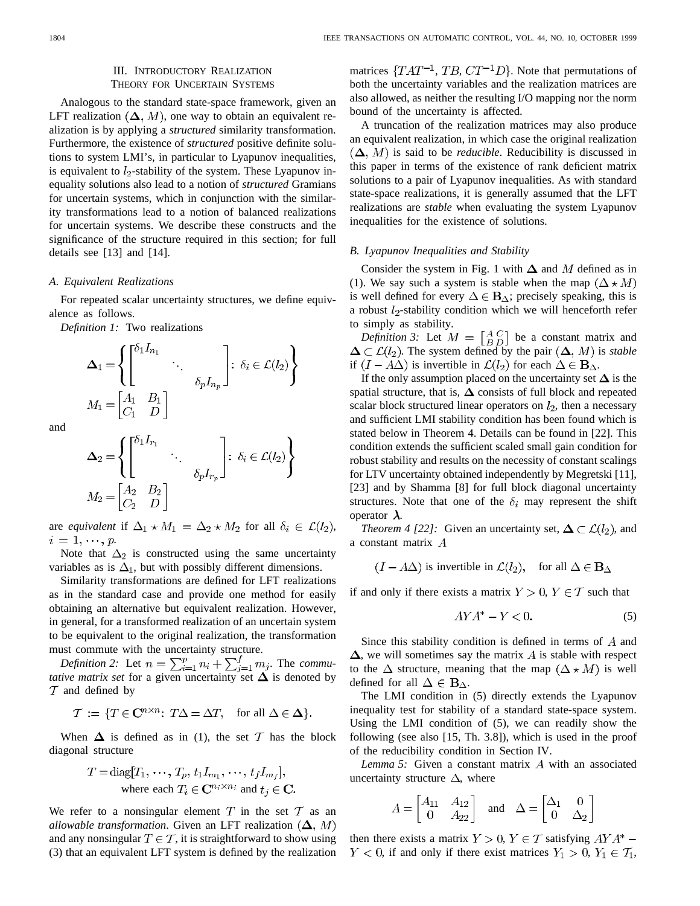# III. INTRODUCTORY REALIZATION THEORY FOR UNCERTAIN SYSTEMS

Analogous to the standard state-space framework, given an LFT realization  $(\Delta, M)$ , one way to obtain an equivalent realization is by applying a *structured* similarity transformation. Furthermore, the existence of *structured* positive definite solutions to system LMI's, in particular to Lyapunov inequalities, is equivalent to  $l_2$ -stability of the system. These Lyapunov inequality solutions also lead to a notion of *structured* Gramians for uncertain systems, which in conjunction with the similarity transformations lead to a notion of balanced realizations for uncertain systems. We describe these constructs and the significance of the structure required in this section; for full details see [13] and [14].

# *A. Equivalent Realizations*

For repeated scalar uncertainty structures, we define equivalence as follows.

*Definition 1:* Two realizations

$$
\Delta_1 = \left\{ \begin{bmatrix} \delta_1 I_{n_1} & & \\ & \ddots & \\ & & \delta_p I_{n_p} \end{bmatrix} : \delta_i \in \mathcal{L}(l_2) \right\}
$$

$$
M_1 = \begin{bmatrix} A_1 & B_1 \\ C_1 & D \end{bmatrix}
$$

and

$$
\Delta_2 = \left\{ \begin{bmatrix} \delta_1 I_{r_1} & & \\ & \ddots & \\ & & \delta_p I_{r_p} \end{bmatrix} : \delta_i \in \mathcal{L}(l_2) \right\}
$$

$$
M_2 = \begin{bmatrix} A_2 & B_2 \\ C_2 & D \end{bmatrix}
$$

are *equivalent* if  $\Delta_1 \star M_1 = \Delta_2 \star M_2$  for all  $\delta_i \in \mathcal{L}(l_2)$ ,  $i=1,\cdots,p.$ 

Note that  $\Delta_2$  is constructed using the same uncertainty variables as is  $\Delta_1$ , but with possibly different dimensions.

Similarity transformations are defined for LFT realizations as in the standard case and provide one method for easily obtaining an alternative but equivalent realization. However, in general, for a transformed realization of an uncertain system to be equivalent to the original realization, the transformation must commute with the uncertainty structure.

*Definition 2:* Let  $n = \sum_{i=1}^{p} n_i + \sum_{j=1}^{f} m_j$ . The *commutative matrix set* for a given uncertainty set  $\Delta$  is denoted by  $T$  and defined by

$$
\mathcal{T} := \{ T \in \mathbf{C}^{n \times n} \colon T\Delta = \Delta T, \text{ for all } \Delta \in \Delta \}.
$$

When  $\Delta$  is defined as in (1), the set T has the block diagonal structure

$$
T = \text{diag}[T_1, \dots, T_p, t_1 I_{m_1}, \dots, t_f I_{m_f}],
$$
  
where each  $T_i \in \mathbb{C}^{n_i \times n_i}$  and  $t_j \in \mathbb{C}$ .

We refer to a nonsingular element  $T$  in the set  $T$  as an *allowable transformation*. Given an LFT realization  $(\Delta, M)$ and any nonsingular  $T \in \mathcal{T}$ , it is straightforward to show using (3) that an equivalent LFT system is defined by the realization matrices  $\{TAT^{-1}, TB, CT^{-1}D\}$ . Note that permutations of both the uncertainty variables and the realization matrices are also allowed, as neither the resulting I/O mapping nor the norm bound of the uncertainty is affected.

A truncation of the realization matrices may also produce an equivalent realization, in which case the original realization  $(\Delta, M)$  is said to be *reducible*. Reducibility is discussed in this paper in terms of the existence of rank deficient matrix solutions to a pair of Lyapunov inequalities. As with standard state-space realizations, it is generally assumed that the LFT realizations are *stable* when evaluating the system Lyapunov inequalities for the existence of solutions.

#### *B. Lyapunov Inequalities and Stability*

Consider the system in Fig. 1 with  $\Delta$  and M defined as in (1). We say such a system is stable when the map  $(\Delta \star M)$ is well defined for every  $\Delta \in \mathbf{B}_{\Delta}$ ; precisely speaking, this is a robust  $l_2$ -stability condition which we will henceforth refer to simply as stability.

*Definition 3:* Let  $M = \begin{bmatrix} A & C \\ B & D \end{bmatrix}$  be a constant matrix and  $\Delta \subset \mathcal{L}(l_2)$ . The system defined by the pair  $(\Delta, M)$  is *stable* if  $(I - A\Delta)$  is invertible in  $\mathcal{L}(l_2)$  for each  $\Delta \in \mathbf{B}_{\Delta}$ .

If the only assumption placed on the uncertainty set  $\Delta$  is the spatial structure, that is,  $\Delta$  consists of full block and repeated scalar block structured linear operators on  $l_2$ , then a necessary and sufficient LMI stability condition has been found which is stated below in Theorem 4. Details can be found in [22]. This condition extends the sufficient scaled small gain condition for robust stability and results on the necessity of constant scalings for LTV uncertainty obtained independently by Megretski [11], [23] and by Shamma [8] for full block diagonal uncertainty structures. Note that one of the  $\delta_i$  may represent the shift operator  $\lambda$ .

*Theorem 4 [22]:* Given an uncertainty set,  $\Delta \subset \mathcal{L}(l_2)$ , and a constant matrix  $A$ 

$$
(I - A\Delta)
$$
 is invertible in  $\mathcal{L}(l_2)$ , for all  $\Delta \in \mathbf{B}_{\Delta}$ 

 $\overline{\mathcal{L}}$ 

if and only if there exists a matrix  $Y > 0$ ,  $Y \in \mathcal{T}$  such that

$$
AYA^* - Y < 0. \tag{5}
$$

Since this stability condition is defined in terms of  $A$  and  $\Delta$ , we will sometimes say the matrix A is stable with respect to the  $\Delta$  structure, meaning that the map  $(\Delta \star M)$  is well defined for all  $\Delta \in \mathbf{B}_{\Delta}$ .

The LMI condition in (5) directly extends the Lyapunov inequality test for stability of a standard state-space system. Using the LMI condition of (5), we can readily show the following (see also [15, Th. 3.8]), which is used in the proof of the reducibility condition in Section IV.

*Lemma 5:* Given a constant matrix  $A$  with an associated uncertainty structure  $\Delta$ , where

$$
A = \begin{bmatrix} A_{11} & A_{12} \\ 0 & A_{22} \end{bmatrix} \text{ and } \Delta = \begin{bmatrix} \Delta_1 & 0 \\ 0 & \Delta_2 \end{bmatrix}
$$

then there exists a matrix  $Y > 0$ ,  $Y \in \mathcal{T}$  satisfying  $AYA^*$  –  $Y < 0$ , if and only if there exist matrices  $Y_1 > 0$ ,  $Y_1 \in T_1$ ,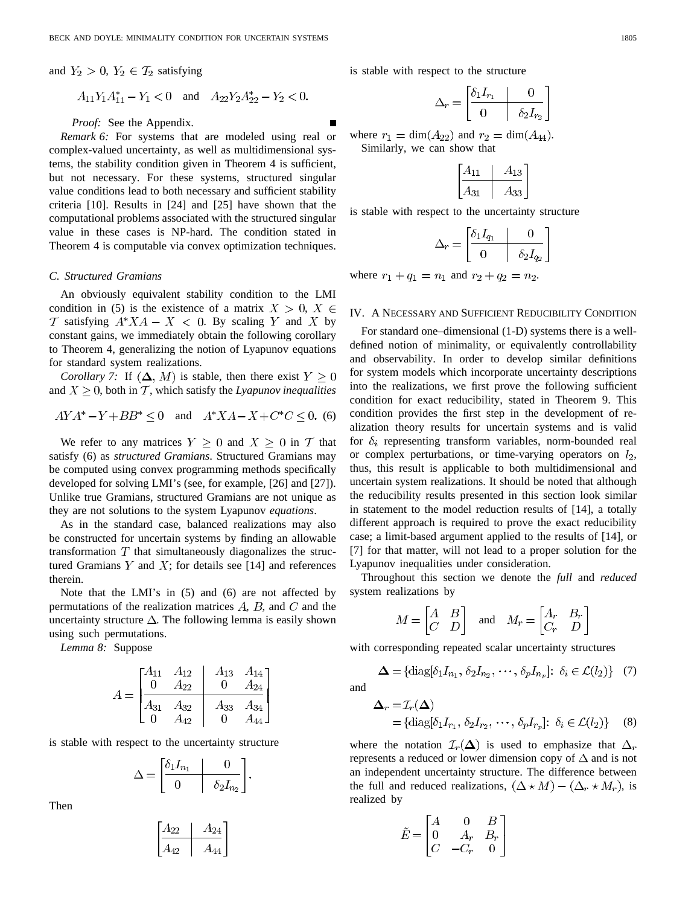and  $Y_2 > 0$ ,  $Y_2 \in \mathcal{T}_2$  satisfying

$$
A_{11}Y_1A_{11}^* - Y_1 < 0 \quad \text{and} \quad A_{22}Y_2A_{22}^* - Y_2 < 0.
$$

*Proof:* See the Appendix.

*Remark 6:* For systems that are modeled using real or complex-valued uncertainty, as well as multidimensional systems, the stability condition given in Theorem 4 is sufficient, but not necessary. For these systems, structured singular value conditions lead to both necessary and sufficient stability criteria [10]. Results in [24] and [25] have shown that the computational problems associated with the structured singular value in these cases is NP-hard. The condition stated in Theorem 4 is computable via convex optimization techniques.

#### *C. Structured Gramians*

An obviously equivalent stability condition to the LMI condition in (5) is the existence of a matrix  $X > 0$ ,  $X \in$ T satisfying  $A^*XA - X < 0$ . By scaling Y and X by constant gains, we immediately obtain the following corollary to Theorem 4, generalizing the notion of Lyapunov equations for standard system realizations.

*Corollary 7:* If  $(\Delta, M)$  is stable, then there exist  $Y \geq 0$ and  $X \geq 0$ , both in  $\mathcal T$ , which satisfy the *Lyapunov inequalities* 

$$
AYA^* - Y + BB^* \le 0
$$
 and  $A^*XA - X + C^*C \le 0$ . (6)

We refer to any matrices  $Y \geq 0$  and  $X \geq 0$  in T that satisfy (6) as *structured Gramians*. Structured Gramians may be computed using convex programming methods specifically developed for solving LMI's (see, for example, [26] and [27]). Unlike true Gramians, structured Gramians are not unique as they are not solutions to the system Lyapunov *equations*.

As in the standard case, balanced realizations may also be constructed for uncertain systems by finding an allowable transformation  $T$  that simultaneously diagonalizes the structured Gramians  $Y$  and  $X$ ; for details see [14] and references therein.

Note that the LMI's in (5) and (6) are not affected by permutations of the realization matrices  $A, B$ , and  $C$  and the uncertainty structure  $\Delta$ . The following lemma is easily shown using such permutations.

*Lemma 8:* Suppose

$$
A = \begin{bmatrix} A_{11} & A_{12} & A_{13} & A_{14} \\ 0 & A_{22} & 0 & A_{24} \\ A_{31} & A_{32} & A_{33} & A_{34} \\ 0 & A_{42} & 0 & A_{44} \end{bmatrix}
$$

is stable with respect to the uncertainty structure

$$
\Delta = \left[\begin{array}{cc|c}\delta_1 I_{n_1} & 0 \\
\hline\n0 & \delta_2 I_{n_2}\end{array}\right].
$$

Then

$$
\begin{bmatrix} A_{22} & A_{24} \ A_{42} & A_{44} \end{bmatrix}
$$

is stable with respect to the structure

$$
\Delta_r = \begin{bmatrix} \delta_1 I_{r_1} & 0 \\ 0 & \delta_2 I_{r_2} \end{bmatrix}
$$

where  $r_1 = \dim(A_{22})$  and  $r_2 = \dim(A_{44})$ . Similarly, we can show that

$$
\begin{bmatrix}\nA_{11} & A_{13} \\
A_{31} & A_{33}\n\end{bmatrix}
$$

is stable with respect to the uncertainty structure

$$
\Delta_r = \begin{bmatrix} \delta_1 I_{q_1} & 0 \\ 0 & \delta_2 I_{q_2} \end{bmatrix}
$$

where  $r_1 + q_1 = n_1$  and  $r_2 + q_2 = n_2$ .

#### IV. A NECESSARY AND SUFFICIENT REDUCIBILITY CONDITION

For standard one–dimensional (1-D) systems there is a welldefined notion of minimality, or equivalently controllability and observability. In order to develop similar definitions for system models which incorporate uncertainty descriptions into the realizations, we first prove the following sufficient condition for exact reducibility, stated in Theorem 9. This condition provides the first step in the development of realization theory results for uncertain systems and is valid for  $\delta_i$  representing transform variables, norm-bounded real or complex perturbations, or time-varying operators on  $l_2$ , thus, this result is applicable to both multidimensional and uncertain system realizations. It should be noted that although the reducibility results presented in this section look similar in statement to the model reduction results of [14], a totally different approach is required to prove the exact reducibility case; a limit-based argument applied to the results of [14], or [7] for that matter, will not lead to a proper solution for the Lyapunov inequalities under consideration.

Throughout this section we denote the *full* and *reduced* system realizations by

$$
M = \begin{bmatrix} A & B \\ C & D \end{bmatrix} \quad \text{and} \quad M_r = \begin{bmatrix} A_r & B_r \\ C_r & D \end{bmatrix}
$$

with corresponding repeated scalar uncertainty structures

$$
\Delta = {\text{diag}}[\delta_1 I_{n_1}, \, \delta_2 I_{n_2}, \, \cdots, \, \delta_p I_{n_p}]; \, \delta_i \in \mathcal{L}(l_2) \} \quad (7)
$$

and

$$
\Delta_r = \mathcal{I}_r(\Delta)
$$
  
= {diag[ $\delta_1 I_{r_1}, \delta_2 I_{r_2}, \cdots, \delta_p I_{r_p}$ ]:  $\delta_i \in \mathcal{L}(l_2)$ } (8)

where the notation  $\mathcal{I}_r(\Delta)$  is used to emphasize that  $\Delta_r$ represents a reduced or lower dimension copy of  $\Delta$  and is not an independent uncertainty structure. The difference between the full and reduced realizations,  $(\Delta \star M) - (\Delta_r \star M_r)$ , is realized by

$$
\tilde{E} = \begin{bmatrix} A & 0 & B \\ 0 & A_r & B_r \\ C & -C_r & 0 \end{bmatrix}
$$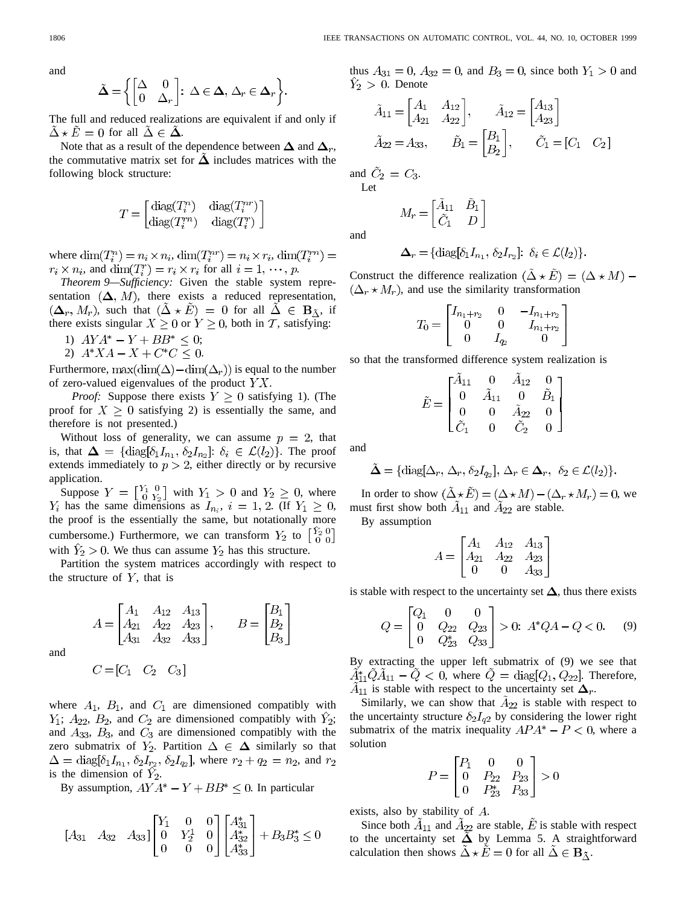and

$$
\tilde{\Delta} = \left\{ \begin{bmatrix} \Delta & 0 \\ 0 & \Delta_r \end{bmatrix}: \ \Delta \in \Delta, \ \Delta_r \in \Delta_r \right\}.
$$

The full and reduced realizations are equivalent if and only if  $\Delta \star \dot{E} = 0$  for all  $\Delta \in \Delta$ .

Note that as a result of the dependence between  $\Delta$  and  $\Delta_r$ , the commutative matrix set for  $\Delta$  includes matrices with the following block structure:

$$
T = \begin{bmatrix} \text{diag}(T_i^n) & \text{diag}(T_i^{nr}) \\ \text{diag}(T_i^{rn}) & \text{diag}(T_i^r) \end{bmatrix}
$$

where  $\dim(T_i^n) = n_i \times n_i$ ,  $\dim(T_i^{nr}) = n_i \times r_i$ ,  $\dim(T_i^{rn}) =$  $r_i \times n_i$ , and  $\dim(T_i^r) = r_i \times r_i$  for all  $i = 1, \dots, p$ .

*Theorem 9—Sufficiency:* Given the stable system representation  $(\Delta, M)$ , there exists a reduced representation,  $(\Delta_r, M_r)$ , such that  $(\Delta \star E) = 0$  for all  $\Delta \in \mathbf{B}_{\tilde{\Delta}}$ , if there exists singular  $X \geq 0$  or  $Y \geq 0$ , both in T, satisfying:

1)  $AYA^* - Y + BB^* \leq 0;$ 

2)  $A^*XA - X + C^*C \leq 0.$ 

Furthermore,  $\max(\dim(\Delta) - \dim(\Delta_r))$  is equal to the number of zero-valued eigenvalues of the product  $YX$ .

*Proof:* Suppose there exists  $Y \geq 0$  satisfying 1). (The proof for  $X \geq 0$  satisfying 2) is essentially the same, and therefore is not presented.)

Without loss of generality, we can assume  $p = 2$ , that is, that  $\Delta = {\text{diag}}[\delta_1 I_{n_1}, \delta_2 I_{n_2}]$ :  $\delta_i \in \mathcal{L}(l_2)$ . The proof extends immediately to  $p > 2$ , either directly or by recursive application.

Suppose  $Y = \begin{bmatrix} Y_1 & 0 \\ 0 & Y_2 \end{bmatrix}$  with  $Y_1 > 0$  and  $Y_2 \ge 0$ , where  $Y_i$  has the same dimensions as  $I_{n_i}$ ,  $i = 1, 2$ . (If  $Y_1 \geq 0$ , the proof is the essentially the same, but notationally more cumbersome.) Furthermore, we can transform  $Y_2$  to  $\begin{bmatrix} Y_2 & 0 \\ 0 & 0 \end{bmatrix}$ with  $\hat{Y}_2 > 0$ . We thus can assume  $Y_2$  has this structure.

Partition the system matrices accordingly with respect to the structure of  $Y$ , that is

$$
A = \begin{bmatrix} A_1 & A_{12} & A_{13} \\ A_{21} & A_{22} & A_{23} \\ A_{31} & A_{32} & A_{33} \end{bmatrix}, \qquad B = \begin{bmatrix} B_1 \\ B_2 \\ B_3 \end{bmatrix}
$$

and

$$
C = \begin{bmatrix} C_1 & C_2 & C_3 \end{bmatrix}
$$

where  $A_1$ ,  $B_1$ , and  $C_1$  are dimensioned compatibly with  $Y_1$ ;  $A_{22}$ ,  $B_2$ , and  $C_2$  are dimensioned compatibly with  $Y_2$ ; and  $A_{33}$ ,  $B_3$ , and  $C_3$  are dimensioned compatibly with the zero submatrix of  $Y_2$ . Partition  $\Delta \in \Delta$  similarly so that  $\Delta = \text{diag}[\delta_1 I_{n_1}, \delta_2 I_{r_2}, \delta_2 I_{q_2}]$ , where  $r_2 + q_2 = n_2$ , and  $r_2$ is the dimension of  $\hat{Y}_2$ .

By assumption,  $AYA^* - Y + BB^* \leq 0$ . In particular

$$
\begin{bmatrix} A_{31} & A_{32} & A_{33} \end{bmatrix} \begin{bmatrix} Y_1 & 0 & 0 \\ 0 & Y_2^1 & 0 \\ 0 & 0 & 0 \end{bmatrix} \begin{bmatrix} A_{31}^* \\ A_{32}^* \\ A_{33}^* \end{bmatrix} + B_3 B_3^* \le 0
$$

thus  $A_{31} = 0$ ,  $A_{32} = 0$ , and  $B_3 = 0$ , since both  $Y_1 > 0$  and  $\hat{Y}_2 > 0$ . Denote

$$
\tilde{A}_{11} = \begin{bmatrix} A_1 & A_{12} \\ A_{21} & A_{22} \end{bmatrix}, \qquad \tilde{A}_{12} = \begin{bmatrix} A_{13} \\ A_{23} \end{bmatrix}
$$

$$
\tilde{A}_{22} = A_{33}, \qquad \tilde{B}_1 = \begin{bmatrix} B_1 \\ B_2 \end{bmatrix}, \qquad \tilde{C}_1 = \begin{bmatrix} C_1 & C_2 \end{bmatrix}
$$

and  $\tilde{C}_2 = C_3$ . Let

$$
M_r = \begin{bmatrix} \tilde{A}_{11} & \tilde{B}_1 \\ \tilde{C}_1 & D \end{bmatrix}
$$

and

$$
\Delta_r = {\text{diag}}[\delta_1 I_{n_1}, \, \delta_2 I_{r_2}]: \, \delta_i \in \mathcal{L}(l_2) \}.
$$

Construct the difference realization  $(\Delta \star E) = (\Delta \star M)$  –  $(\Delta_r \star M_r)$ , and use the similarity transformation

$$
T_0 = \begin{bmatrix} I_{n_1+r_2} & 0 & -I_{n_1+r_2} \\ 0 & 0 & I_{n_1+r_2} \\ 0 & I_{q_2} & 0 \end{bmatrix}
$$

so that the transformed difference system realization is

$$
\tilde{E} = \begin{bmatrix} \tilde{A}_{11} & 0 & \tilde{A}_{12} & 0 \\ 0 & \tilde{A}_{11} & 0 & \tilde{B}_1 \\ 0 & 0 & \tilde{A}_{22} & 0 \\ \tilde{C}_1 & 0 & \tilde{C}_2 & 0 \end{bmatrix}
$$

and

$$
\tilde{\Delta} = {\text{diag}[\Delta_r, \Delta_r, \delta_2 I_{q_2}], \Delta_r \in \Delta_r, \ \delta_2 \in \mathcal{L}(l_2)}.
$$

In order to show  $(\tilde{\Delta} \star \tilde{E}) = (\Delta \star M) - (\Delta_r \star M_r) = 0$ , we must first show both  $\tilde{A}_{11}$  and  $\tilde{A}_{22}$  are stable.

By assumption

$$
A = \begin{bmatrix} A_1 & A_{12} & A_{13} \\ A_{21} & A_{22} & A_{23} \\ 0 & 0 & A_{33} \end{bmatrix}
$$

is stable with respect to the uncertainty set  $\Delta$ , thus there exists

$$
Q = \begin{bmatrix} Q_1 & 0 & 0 \\ 0 & Q_{22} & Q_{23} \\ 0 & Q_{23}^* & Q_{33} \end{bmatrix} > 0; A^*QA - Q < 0. \quad (9)
$$

By extracting the upper left submatrix of (9) we see that  $A_{11}^* Q A_{11} - Q < 0$ , where  $Q = \text{diag}[Q_1, Q_{22}]$ . Therefore,  $\tilde{A}_{11}$  is stable with respect to the uncertainty set  $\Delta_r$ .

Similarly, we can show that  $A_{22}$  is stable with respect to the uncertainty structure  $\delta_2 I_{q2}$  by considering the lower right submatrix of the matrix inequality  $APA^* - P < 0$ , where a solution

$$
P = \begin{bmatrix} P_1 & 0 & 0 \\ 0 & P_{22} & P_{23} \\ 0 & P_{23}^* & P_{33} \end{bmatrix} > 0
$$

exists, also by stability of  $A$ .

Since both  $\tilde{A}_{11}$  and  $\tilde{A}_{22}$  are stable,  $\tilde{E}$  is stable with respect to the uncertainty set  $\Delta$  by Lemma 5. A straightforward calculation then shows  $\Delta \star E = 0$  for all  $\Delta \in \mathbf{B}_{\tilde{\Lambda}}$ .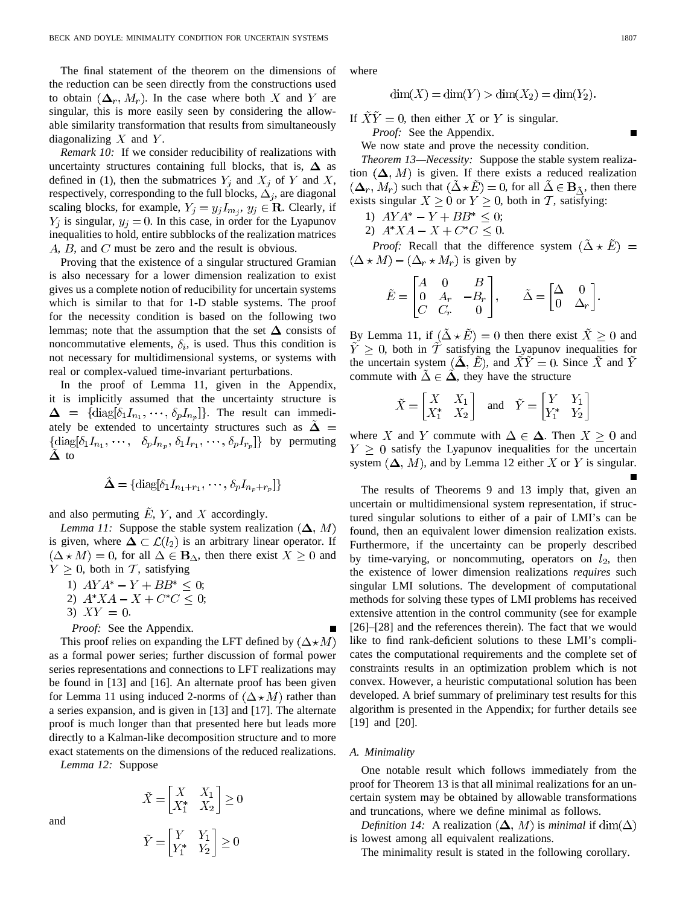The final statement of the theorem on the dimensions of the reduction can be seen directly from the constructions used to obtain  $(\Delta_r, M_r)$ . In the case where both X and Y are singular, this is more easily seen by considering the allowable similarity transformation that results from simultaneously diagonalizing  $X$  and  $Y$ .

*Remark 10:* If we consider reducibility of realizations with uncertainty structures containing full blocks, that is,  $\Delta$  as defined in (1), then the submatrices  $Y_i$  and  $X_j$  of Y and X, respectively, corresponding to the full blocks,  $\Delta_i$ , are diagonal scaling blocks, for example,  $Y_j = y_j I_{m_j}$ ,  $y_j \in \mathbf{R}$ . Clearly, if  $Y_i$  is singular,  $y_i = 0$ . In this case, in order for the Lyapunov inequalities to hold, entire subblocks of the realization matrices  $A, B$ , and  $C$  must be zero and the result is obvious.

Proving that the existence of a singular structured Gramian is also necessary for a lower dimension realization to exist gives us a complete notion of reducibility for uncertain systems which is similar to that for 1-D stable systems. The proof for the necessity condition is based on the following two lemmas; note that the assumption that the set  $\Delta$  consists of noncommutative elements,  $\delta_i$ , is used. Thus this condition is not necessary for multidimensional systems, or systems with real or complex-valued time-invariant perturbations.

In the proof of Lemma 11, given in the Appendix, it is implicitly assumed that the uncertainty structure is  $\Delta = {\text{diag}}[\delta_1 I_{n_1}, \dots, \delta_p I_{n_p}].$  The result can immediately be extended to uncertainty structures such as  $\tilde{\Delta}$  =  $\{\text{diag}[\delta_1 I_{n_1}, \cdots, \delta_p I_{n_p}, \delta_1 I_{r_1}, \cdots, \delta_p I_{r_p}]\}\$  by permuting  $\Delta$  to

$$
\hat{\mathbf{\Delta}} = {\text{diag}}[\delta_1 I_{n_1+r_1}, \dots, \delta_p I_{n_p+r_p}]
$$

and also permuting  $\tilde{E}$ , Y, and X accordingly.

*Lemma 11:* Suppose the stable system realization  $(\Delta, M)$ is given, where  $\Delta \subset \mathcal{L}(l_2)$  is an arbitrary linear operator. If  $(\Delta \star M) = 0$ , for all  $\Delta \in \mathbf{B}_{\Delta}$ , then there exist  $X \geq 0$  and  $Y \geq 0$ , both in T, satisfying

- 1)  $AYA^* Y + BB^* \leq 0;$ 2)  $A^*XA - X + C^*C \le 0$ ;
- 3)  $XY = 0$ .

*Proof:* See the Appendix.

This proof relies on expanding the LFT defined by  $(\Delta \star M)$ as a formal power series; further discussion of formal power series representations and connections to LFT realizations may be found in [13] and [16]. An alternate proof has been given for Lemma 11 using induced 2-norms of  $(\Delta \star M)$  rather than a series expansion, and is given in [13] and [17]. The alternate proof is much longer than that presented here but leads more directly to a Kalman-like decomposition structure and to more exact statements on the dimensions of the reduced realizations.

*Lemma 12:* Suppose

and

$$
\tilde{Y} = \begin{bmatrix} Y & Y_1 \\ Y_1^* & Y_2 \end{bmatrix} \ge 0
$$

 $\tilde{X} = \begin{bmatrix} X & X_1 \\ X^* & X_2 \end{bmatrix} \geq 0$ 

where

$$
\dim(X) = \dim(Y) > \dim(X_2) = \dim(Y_2).
$$

If  $\tilde{X}\tilde{Y} = 0$ , then either X or Y is singular.

*Proof:* See the Appendix.

We now state and prove the necessity condition.

*Theorem 13—Necessity:* Suppose the stable system realization  $(\Delta, M)$  is given. If there exists a reduced realization  $(\Delta_r, M_r)$  such that  $(\Delta \star E) = 0$ , for all  $\Delta \in \mathbf{B}_{\lambda}$ , then there exists singular  $X \geq 0$  or  $Y \geq 0$ , both in  $\mathcal{T}$ , satisfying:

- 1)  $AYA^* Y + BB^* \leq 0;$
- 2)  $A^*XA X + C^*C \leq 0$ .

*Proof:* Recall that the difference system  $(\tilde{\Delta} \star \tilde{E})$  =  $(\Delta \star M) - (\Delta_r \star M_r)$  is given by

$$
\tilde{E} = \begin{bmatrix} A & 0 & B \\ 0 & A_r & -B_r \\ C & C_r & 0 \end{bmatrix}, \qquad \tilde{\Delta} = \begin{bmatrix} \Delta & 0 \\ 0 & \Delta_r \end{bmatrix}.
$$

By Lemma 11, if  $(\Delta \star E) = 0$  then there exist  $X \geq 0$  and , both in  $T$  satisfying the Lyapunov inequalities for the uncertain system  $(\Delta, E)$ , and  $\overline{XY} = 0$ . Since  $\overline{X}$  and  $\overline{Y}$ commute with  $\tilde{\Delta} \in \tilde{\Delta}$ , they have the structure

$$
\tilde{X} = \begin{bmatrix} X & X_1 \\ X_1^* & X_2 \end{bmatrix} \quad \text{and} \quad \tilde{Y} = \begin{bmatrix} Y & Y_1 \\ Y_1^* & Y_2 \end{bmatrix}
$$

where X and Y commute with  $\Delta \in \Delta$ . Then  $X \geq 0$  and  $Y \geq 0$  satisfy the Lyapunov inequalities for the uncertain system  $(\Delta, M)$ , and by Lemma 12 either X or Y is singular.

The results of Theorems 9 and 13 imply that, given an uncertain or multidimensional system representation, if structured singular solutions to either of a pair of LMI's can be found, then an equivalent lower dimension realization exists. Furthermore, if the uncertainty can be properly described by time-varying, or noncommuting, operators on  $l_2$ , then the existence of lower dimension realizations *requires* such singular LMI solutions. The development of computational methods for solving these types of LMI problems has received extensive attention in the control community (see for example [26]–[28] and the references therein). The fact that we would like to find rank-deficient solutions to these LMI's complicates the computational requirements and the complete set of constraints results in an optimization problem which is not convex. However, a heuristic computational solution has been developed. A brief summary of preliminary test results for this algorithm is presented in the Appendix; for further details see [19] and [20].

# *A. Minimality*

One notable result which follows immediately from the proof for Theorem 13 is that all minimal realizations for an uncertain system may be obtained by allowable transformations and truncations, where we define minimal as follows.

*Definition 14:* A realization  $(\Delta, M)$  is *minimal* if  $\dim(\Delta)$ is lowest among all equivalent realizations.

The minimality result is stated in the following corollary.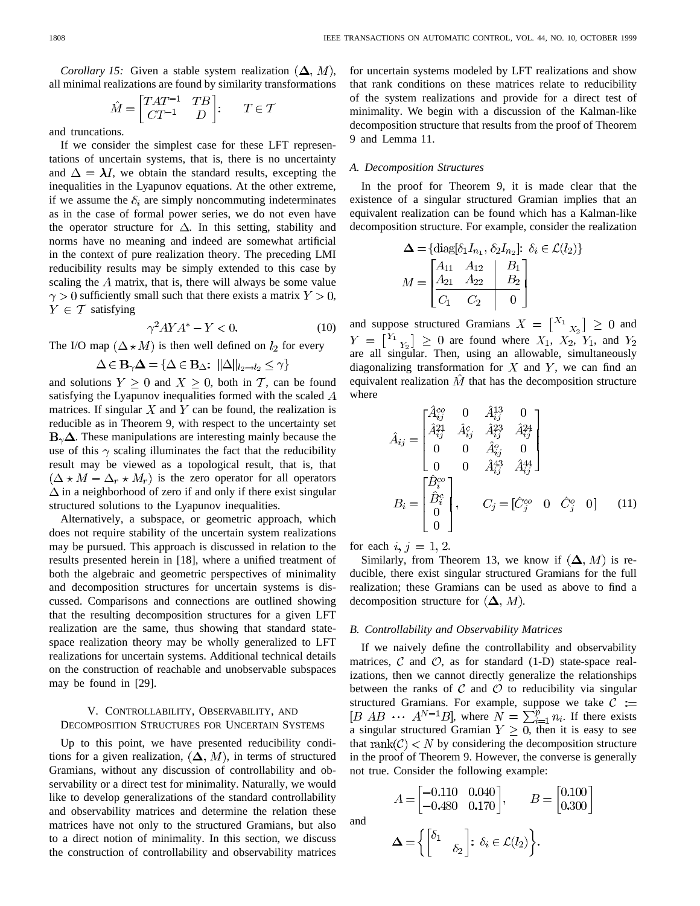*Corollary 15:* Given a stable system realization  $(\Delta, M)$ , all minimal realizations are found by similarity transformations

$$
\hat{M} = \begin{bmatrix} TAT^{-1} & TB \\ CT^{-1} & D \end{bmatrix}; \qquad T \in \mathcal{T}
$$

and truncations.

If we consider the simplest case for these LFT representations of uncertain systems, that is, there is no uncertainty and  $\Delta = \lambda I$ , we obtain the standard results, excepting the inequalities in the Lyapunov equations. At the other extreme, if we assume the  $\delta_i$  are simply noncommuting indeterminates as in the case of formal power series, we do not even have the operator structure for  $\Delta$ . In this setting, stability and norms have no meaning and indeed are somewhat artificial in the context of pure realization theory. The preceding LMI reducibility results may be simply extended to this case by scaling the  $A$  matrix, that is, there will always be some value  $\gamma > 0$  sufficiently small such that there exists a matrix  $Y > 0$ ,  $Y \in \mathcal{T}$  satisfying

$$
\gamma^2 A Y A^* - Y < 0. \tag{10}
$$

The I/O map  $(\Delta \star M)$  is then well defined on  $l_2$  for every

$$
\Delta \in \mathbf{B}_{\gamma}\mathbf{\Delta} = \{\Delta \in \mathbf{B}_{\Delta} \colon \, ||\Delta||_{l_2 \to l_2} \leq \gamma\}
$$

and solutions  $Y \geq 0$  and  $X \geq 0$ , both in T, can be found satisfying the Lyapunov inequalities formed with the scaled  $A$ matrices. If singular  $X$  and  $Y$  can be found, the realization is reducible as in Theorem 9, with respect to the uncertainty set  $\mathbf{B}_{\gamma}\Delta$ . These manipulations are interesting mainly because the use of this  $\gamma$  scaling illuminates the fact that the reducibility result may be viewed as a topological result, that is, that  $(\Delta \star M - \Delta_r \star M_r)$  is the zero operator for all operators  $\Delta$  in a neighborhood of zero if and only if there exist singular structured solutions to the Lyapunov inequalities.

Alternatively, a subspace, or geometric approach, which does not require stability of the uncertain system realizations may be pursued. This approach is discussed in relation to the results presented herein in [18], where a unified treatment of both the algebraic and geometric perspectives of minimality and decomposition structures for uncertain systems is discussed. Comparisons and connections are outlined showing that the resulting decomposition structures for a given LFT realization are the same, thus showing that standard statespace realization theory may be wholly generalized to LFT realizations for uncertain systems. Additional technical details on the construction of reachable and unobservable subspaces may be found in [29].

# V. CONTROLLABILITY, OBSERVABILITY, AND DECOMPOSITION STRUCTURES FOR UNCERTAIN SYSTEMS

Up to this point, we have presented reducibility conditions for a given realization,  $(\Delta, M)$ , in terms of structured Gramians, without any discussion of controllability and observability or a direct test for minimality. Naturally, we would like to develop generalizations of the standard controllability and observability matrices and determine the relation these matrices have not only to the structured Gramians, but also to a direct notion of minimality. In this section, we discuss the construction of controllability and observability matrices for uncertain systems modeled by LFT realizations and show that rank conditions on these matrices relate to reducibility of the system realizations and provide for a direct test of minimality. We begin with a discussion of the Kalman-like decomposition structure that results from the proof of Theorem 9 and Lemma 11.

#### *A. Decomposition Structures*

In the proof for Theorem 9, it is made clear that the existence of a singular structured Gramian implies that an equivalent realization can be found which has a Kalman-like decomposition structure. For example, consider the realization

$$
\Delta = \{\text{diag}[\delta_1 I_{n_1}, \ \delta_2 I_{n_2}]: \ \delta_i \in \mathcal{L}(l_2)\]
$$

$$
M = \begin{bmatrix} A_{11} & A_{12} & B_1 \\ A_{21} & A_{22} & B_2 \\ \hline C_1 & C_2 & 0 \end{bmatrix}
$$

and suppose structured Gramians  $X = \begin{bmatrix} X_1 \\ X_2 \end{bmatrix} \geq 0$  and are found where  $X_1$ ,  $X_2$ ,  $Y_1$ , and are all singular. Then, using an allowable, simultaneously diagonalizing transformation for X and Y, we can find an equivalent realization  $\hat{M}$  that has the decomposition structure where  $\sim$  10

$$
\hat{A}_{ij} = \begin{bmatrix}\nA_{ij}^{cc} & 0 & A_{ij}^{13} & 0 \\
\hat{A}_{ij}^{21} & \hat{A}_{ij}^{c} & \hat{A}_{ij}^{23} & \hat{A}_{ij}^{24} \\
0 & 0 & \hat{A}_{ij}^{o} & 0 \\
0 & 0 & \hat{A}_{ij}^{43} & \hat{A}_{ij}^{44} \\
\end{bmatrix}
$$
\n
$$
B_{i} = \begin{bmatrix}\n\hat{B}_{i}^{cc} \\
\hat{B}_{i}^{c} \\
0 \\
0\n\end{bmatrix}, \qquad C_{j} = \begin{bmatrix}\n\hat{C}_{j}^{co} & 0 & \hat{C}_{j}^{o} & 0\n\end{bmatrix} \qquad (11)
$$

for each  $i, j = 1, 2$ .

Similarly, from Theorem 13, we know if  $(\Delta, M)$  is reducible, there exist singular structured Gramians for the full realization; these Gramians can be used as above to find a decomposition structure for  $({\Delta}, M)$ .

#### *B. Controllability and Observability Matrices*

If we naively define the controllability and observability matrices,  $C$  and  $O$ , as for standard (1-D) state-space realizations, then we cannot directly generalize the relationships between the ranks of C and O to reducibility via singular structured Gramians. For example, suppose we take  $C :=$ , where  $N = \sum_{i=1}^{p} n_i$ . If there exists a singular structured Gramian  $Y \geq 0$ , then it is easy to see that rank $(C)$  < N by considering the decomposition structure in the proof of Theorem 9. However, the converse is generally not true. Consider the following example:

 $A = \begin{bmatrix} -0.110 & 0.040 \\ -0.480 & 0.170 \end{bmatrix}, \qquad B = \begin{bmatrix} 0.100 \\ 0.300 \end{bmatrix}$ 

and

$$
\Delta = \left\{ \begin{bmatrix} \delta_1 & \\ & \delta_2 \end{bmatrix}: \ \delta_i \in \mathcal{L}(l_2) \right\}.
$$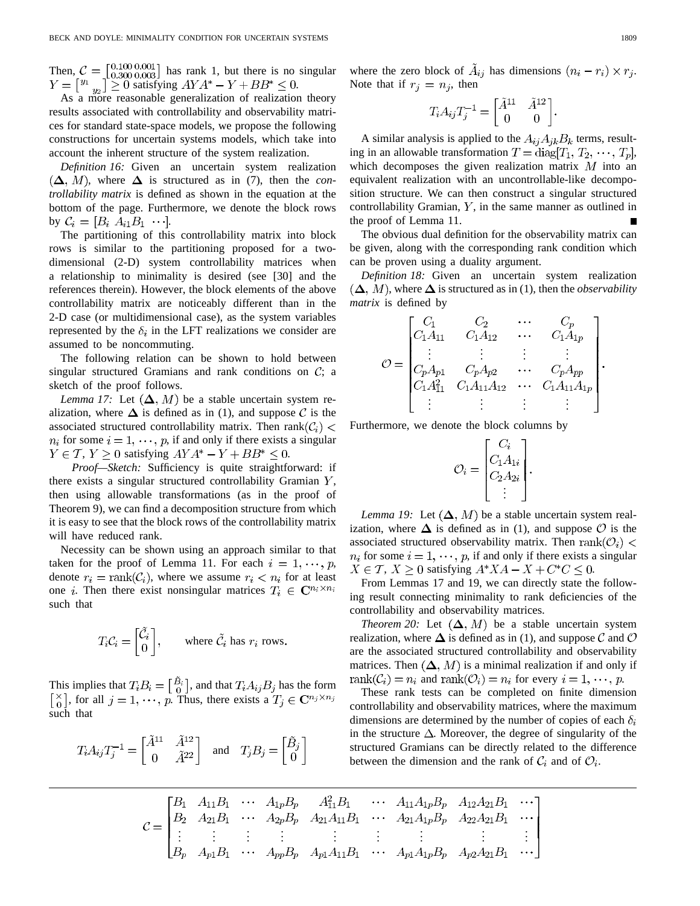Then,  $\mathcal{C} = \begin{bmatrix} 0.100 & 0.001 \\ 0.300 & 0.003 \end{bmatrix}$  has rank 1, but there is no singular satisfying  $AYA^* - Y + BB^* \leq 0$ .

As a more reasonable generalization of realization theory results associated with controllability and observability matrices for standard state-space models, we propose the following constructions for uncertain systems models, which take into account the inherent structure of the system realization.

*Definition 16:* Given an uncertain system realization  $(\Delta, M)$ , where  $\Delta$  is structured as in (7), then the *controllability matrix* is defined as shown in the equation at the bottom of the page. Furthermore, we denote the block rows by  $C_i = [B_i \ A_{i1} B_1 \ \cdots]$ .

The partitioning of this controllability matrix into block rows is similar to the partitioning proposed for a twodimensional (2-D) system controllability matrices when a relationship to minimality is desired (see [30] and the references therein). However, the block elements of the above controllability matrix are noticeably different than in the 2-D case (or multidimensional case), as the system variables represented by the  $\delta_i$  in the LFT realizations we consider are assumed to be noncommuting.

The following relation can be shown to hold between singular structured Gramians and rank conditions on  $C$ ; a sketch of the proof follows.

*Lemma 17:* Let  $(\Delta, M)$  be a stable uncertain system realization, where  $\Delta$  is defined as in (1), and suppose C is the associated structured controllability matrix. Then rank $(C_i)$  <  $n_i$  for some  $i = 1, \dots, p$ , if and only if there exists a singular  $Y \in \mathcal{T}$ ,  $Y \ge 0$  satisfying  $AYA^* - Y + BB^* \le 0$ .

*Proof—Sketch:* Sufficiency is quite straightforward: if there exists a singular structured controllability Gramian  $Y$ , then using allowable transformations (as in the proof of Theorem 9), we can find a decomposition structure from which it is easy to see that the block rows of the controllability matrix will have reduced rank.

Necessity can be shown using an approach similar to that taken for the proof of Lemma 11. For each  $i = 1, \dots, p$ , denote  $r_i = \text{rank}(\mathcal{C}_i)$ , where we assume  $r_i < n_i$  for at least one *i*. Then there exist nonsingular matrices  $T_i \in \mathbb{C}^{n_i \times n_i}$ such that

$$
T_i C_i = \begin{bmatrix} \tilde{C}_i \\ 0 \end{bmatrix}, \quad \text{where } \tilde{C}_i \text{ has } r_i \text{ rows.}
$$

This implies that  $T_i B_i = \begin{bmatrix} B_i \\ 0 \end{bmatrix}$ , and that  $T_i A_{ij} B_j$  has the form , for all  $j = 1, \dots, p$ . Thus, there exists a such that

$$
T_i A_{ij} T_j^{-1} = \begin{bmatrix} \tilde{A}^{11} & \tilde{A}^{12} \\ 0 & \tilde{A}^{22} \end{bmatrix} \text{ and } T_j B_j = \begin{bmatrix} \tilde{B}_j \\ 0 \end{bmatrix}
$$

where the zero block of  $A_{ij}$  has dimensions  $(n_i - r_i) \times r_j$ . Note that if  $r_j = n_j$ , then

$$
T_i A_{ij} T_j^{-1} = \begin{bmatrix} \tilde{A}^{11} & \tilde{A}^{12} \\ 0 & 0 \end{bmatrix}.
$$

A similar analysis is applied to the  $A_{ij}A_{jk}B_k$  terms, resulting in an allowable transformation  $T = diag[T_1, T_2, \dots, T_p]$ , which decomposes the given realization matrix  $M$  into an equivalent realization with an uncontrollable-like decomposition structure. We can then construct a singular structured controllability Gramian,  $Y$ , in the same manner as outlined in the proof of Lemma 11.

The obvious dual definition for the observability matrix can be given, along with the corresponding rank condition which can be proven using a duality argument.

*Definition 18:* Given an uncertain system realization  $(\Delta, M)$ , where  $\Delta$  is structured as in (1), then the *observability matrix* is defined by

$$
\mathcal{O} = \begin{bmatrix} C_1 & C_2 & \cdots & C_p \\ C_1 A_{11} & C_1 A_{12} & \cdots & C_1 A_{1p} \\ \vdots & \vdots & \vdots & \vdots \\ C_p A_{p1} & C_p A_{p2} & \cdots & C_p A_{pp} \\ C_1 A_{11}^2 & C_1 A_{11} A_{12} & \cdots & C_1 A_{11} A_{1p} \\ \vdots & \vdots & \vdots & \vdots & \vdots \end{bmatrix}.
$$

Furthermore, we denote the block columns by

$$
\mathcal{O}_i = \begin{bmatrix} C_i \\ C_1 A_{1i} \\ C_2 A_{2i} \\ \vdots \end{bmatrix}.
$$

*Lemma 19:* Let  $(\Delta, M)$  be a stable uncertain system realization, where  $\Delta$  is defined as in (1), and suppose  $\mathcal O$  is the associated structured observability matrix. Then rank $(\mathcal{O}_i)$  <  $n_i$  for some  $i = 1, \dots, p$ , if and only if there exists a singular  $X \in \mathcal{T}$ ,  $X \geq 0$  satisfying  $A^*XA - X + C^*C \leq 0$ .

From Lemmas 17 and 19, we can directly state the following result connecting minimality to rank deficiencies of the controllability and observability matrices.

*Theorem 20:* Let  $(\Delta, M)$  be a stable uncertain system realization, where  $\Delta$  is defined as in (1), and suppose C and O are the associated structured controllability and observability matrices. Then  $(\Delta, M)$  is a minimal realization if and only if rank $(C_i) = n_i$  and rank $(C_i) = n_i$  for every  $i = 1, \dots, p$ .

These rank tests can be completed on finite dimension controllability and observability matrices, where the maximum dimensions are determined by the number of copies of each  $\delta_i$ in the structure  $\Delta$ . Moreover, the degree of singularity of the structured Gramians can be directly related to the difference between the dimension and the rank of  $C_i$  and of  $\mathcal{O}_i$ .

$$
\mathcal{C} = \begin{bmatrix}\nB_1 & A_{11}B_1 & \cdots & A_{1p}B_p & A_{11}^2B_1 & \cdots & A_{11}A_{1p}B_p & A_{12}A_{21}B_1 & \cdots \\
B_2 & A_{21}B_1 & \cdots & A_{2p}B_p & A_{21}A_{11}B_1 & \cdots & A_{21}A_{1p}B_p & A_{22}A_{21}B_1 & \cdots \\
\vdots & \vdots & \vdots & \vdots & \vdots & \vdots & \vdots \\
B_p & A_{p1}B_1 & \cdots & A_{pp}B_p & A_{p1}A_{11}B_1 & \cdots & A_{p1}A_{1p}B_p & A_{p2}A_{21}B_1 & \cdots\n\end{bmatrix}
$$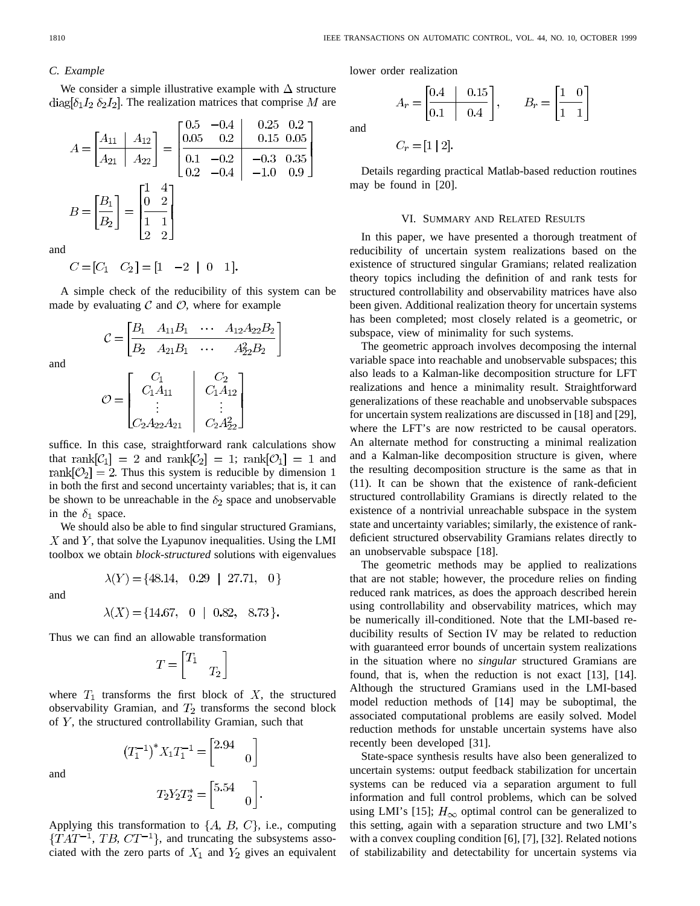## *C. Example*

We consider a simple illustrative example with  $\Delta$  structure  $\text{diag}[\delta_1 I_2 \ \delta_2 I_2]$ . The realization matrices that comprise M are

$$
A = \begin{bmatrix} A_{11} & A_{12} \\ A_{21} & A_{22} \end{bmatrix} = \begin{bmatrix} 0.5 & -0.4 & 0.25 & 0.2 \\ 0.05 & 0.2 & 0.15 & 0.05 \\ 0.1 & -0.2 & -0.3 & 0.35 \\ 0.2 & -0.4 & -1.0 & 0.9 \end{bmatrix}
$$

$$
B = \begin{bmatrix} B_1 \\ B_2 \end{bmatrix} = \begin{bmatrix} 1 & 4 \\ 0 & 2 \\ 1 & 1 \\ 2 & 2 \end{bmatrix}
$$

and

# $C = [C_1 \quad C_2] = [1 \quad -2 \quad 0 \quad 1].$

A simple check of the reducibility of this system can be made by evaluating  $C$  and  $O$ , where for example

$$
\mathcal{C} = \begin{bmatrix} B_1 & A_{11}B_1 & \cdots & A_{12}A_{22}B_2 \\ B_2 & A_{21}B_1 & \cdots & A_{22}B_2 \end{bmatrix}
$$

$$
\mathcal{O} = \begin{bmatrix} C_1 & C_2 \\ C_1A_{11} & C_1A_{12} \\ \vdots & \vdots \end{bmatrix}
$$

and

| $C_1A_{11}$       | $C_1A_{12}$   |
|-------------------|---------------|
| $C_2A_{22}A_{21}$ | $C_2A_{22}^2$ |

suffice. In this case, straightforward rank calculations show that rank $[\mathcal{C}_1] = 2$  and rank $[\mathcal{C}_2] = 1$ ; rank $[\mathcal{O}_1] = 1$  and rank $[O_2] = 2$ . Thus this system is reducible by dimension 1 in both the first and second uncertainty variables; that is, it can be shown to be unreachable in the  $\delta_2$  space and unobservable in the  $\delta_1$  space.

We should also be able to find singular structured Gramians,  $X$  and  $Y$ , that solve the Lyapunov inequalities. Using the LMI toolbox we obtain *block-structured* solutions with eigenvalues

$$
\lambda(Y) = \{48.14, 0.29 \mid 27.71, 0\}
$$

and

and

$$
\lambda(X)=\{14.67,\quad 0\ \mid\ 0.82,\quad 8.73\,\}.
$$

Thus we can find an allowable transformation

$$
T = \begin{bmatrix} T_1 & & \\ & T_2 \end{bmatrix}
$$

where  $T_1$  transforms the first block of  $X$ , the structured observability Gramian, and  $T_2$  transforms the second block of  $Y$ , the structured controllability Gramian, such that

> $(T_1^{-1})^* X_1 T_1^{-1} = \begin{bmatrix} 2.94 & \\ & 0 \end{bmatrix}$  $T_2 Y_2 T_2^* = \begin{bmatrix} 5.54 & \\ & 0 \end{bmatrix}.$

Applying this transformation to  $\{A, B, C\}$ , i.e., computing  $\{\hat{T}AT^{-1}, TB, CT^{-1}\}$ , and truncating the subsystems associated with the zero parts of  $X_1$  and  $Y_2$  gives an equivalent lower order realization

$$
A_r = \begin{bmatrix} 0.4 & 0.15 \\ 0.1 & 0.4 \end{bmatrix}, \qquad B_r = \begin{bmatrix} 1 & 0 \\ 1 & 1 \end{bmatrix}
$$

and  $C_r = [1 | 2].$ 

Details regarding practical Matlab-based reduction routines may be found in [20].

#### VI. SUMMARY AND RELATED RESULTS

In this paper, we have presented a thorough treatment of reducibility of uncertain system realizations based on the existence of structured singular Gramians; related realization theory topics including the definition of and rank tests for structured controllability and observability matrices have also been given. Additional realization theory for uncertain systems has been completed; most closely related is a geometric, or subspace, view of minimality for such systems.

The geometric approach involves decomposing the internal variable space into reachable and unobservable subspaces; this also leads to a Kalman-like decomposition structure for LFT realizations and hence a minimality result. Straightforward generalizations of these reachable and unobservable subspaces for uncertain system realizations are discussed in [18] and [29], where the LFT's are now restricted to be causal operators. An alternate method for constructing a minimal realization and a Kalman-like decomposition structure is given, where the resulting decomposition structure is the same as that in (11). It can be shown that the existence of rank-deficient structured controllability Gramians is directly related to the existence of a nontrivial unreachable subspace in the system state and uncertainty variables; similarly, the existence of rankdeficient structured observability Gramians relates directly to an unobservable subspace [18].

The geometric methods may be applied to realizations that are not stable; however, the procedure relies on finding reduced rank matrices, as does the approach described herein using controllability and observability matrices, which may be numerically ill-conditioned. Note that the LMI-based reducibility results of Section IV may be related to reduction with guaranteed error bounds of uncertain system realizations in the situation where no *singular* structured Gramians are found, that is, when the reduction is not exact [13], [14]. Although the structured Gramians used in the LMI-based model reduction methods of [14] may be suboptimal, the associated computational problems are easily solved. Model reduction methods for unstable uncertain systems have also recently been developed [31].

State-space synthesis results have also been generalized to uncertain systems: output feedback stabilization for uncertain systems can be reduced via a separation argument to full information and full control problems, which can be solved using LMI's [15];  $H_{\infty}$  optimal control can be generalized to this setting, again with a separation structure and two LMI's with a convex coupling condition [6], [7], [32]. Related notions of stabilizability and detectability for uncertain systems via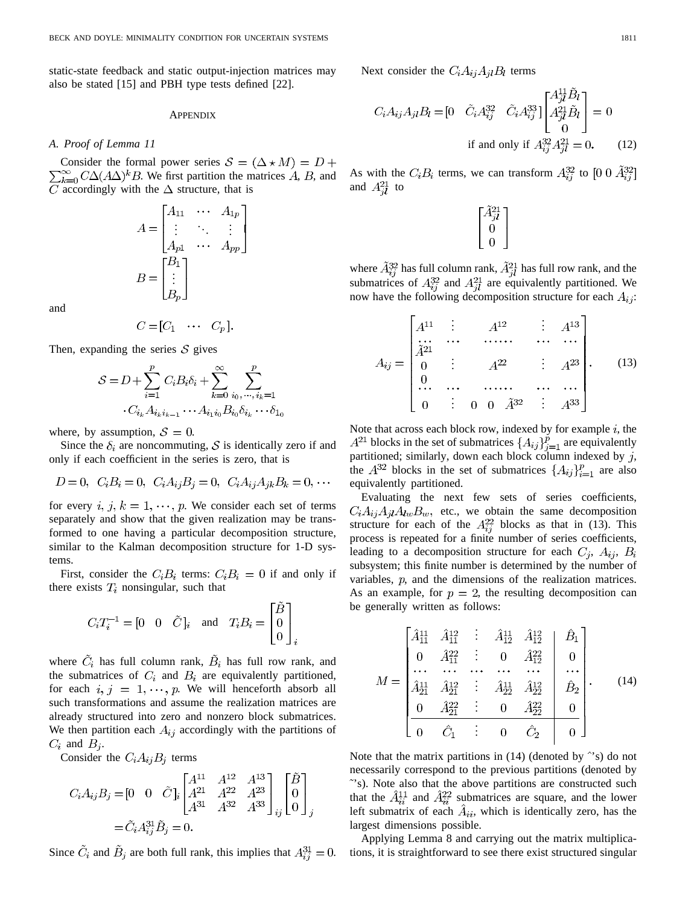static-state feedback and static output-injection matrices may also be stated [15] and PBH type tests defined [22].

#### **APPENDIX**

#### *A. Proof of Lemma 11*

Consider the formal power series  $S = (\Delta \star M) = D +$  $\sum_{k=0}^{\infty} C \Delta (A \Delta)^{k} B$ . We first partition the matrices A, B, and C accordingly with the  $\Delta$  structure, that is

$$
A = \begin{bmatrix} A_{11} & \cdots & A_{1p} \\ \vdots & \ddots & \vdots \\ A_{p1} & \cdots & A_{pp} \end{bmatrix}
$$

$$
B = \begin{bmatrix} B_1 \\ \vdots \\ B_p \end{bmatrix}
$$

and

$$
C = [C_1 \cdots C_p].
$$

Then, expanding the series  $S$  gives

$$
S = D + \sum_{i=1}^{p} C_i B_i \delta_i + \sum_{k=0}^{\infty} \sum_{i_0, ..., i_k=1}^{p}
$$

$$
\cdot C_{i_k} A_{i_k i_{k-1}} \cdots A_{i_1 i_0} B_{i_0} \delta_{i_k} \cdots \delta_{i_0}
$$

where, by assumption,  $\mathcal{S} = 0$ .

Since the  $\delta_i$  are noncommuting, S is identically zero if and only if each coefficient in the series is zero, that is

$$
D = 0, \ \ C_i B_i = 0, \ \ C_i A_{ij} B_j = 0, \ \ C_i A_{ij} A_{jk} B_k = 0, \ \cdots
$$

for every i, j,  $k = 1, \dots, p$ . We consider each set of terms separately and show that the given realization may be transformed to one having a particular decomposition structure, similar to the Kalman decomposition structure for 1-D systems.

First, consider the  $C_iB_i$  terms:  $C_iB_i = 0$  if and only if there exists  $T_i$  nonsingular, such that

$$
C_i T_i^{-1} = \begin{bmatrix} 0 & 0 & \tilde{C} \end{bmatrix}_i \quad \text{and} \quad T_i B_i = \begin{bmatrix} \tilde{B} \\ 0 \\ 0 \end{bmatrix}_i
$$

where  $\tilde{C}_i$  has full column rank,  $\tilde{B}_i$  has full row rank, and the submatrices of  $C_i$  and  $B_i$  are equivalently partitioned, for each  $i, j = 1, \dots, p$ . We will henceforth absorb all such transformations and assume the realization matrices are already structured into zero and nonzero block submatrices. We then partition each  $A_{ij}$  accordingly with the partitions of  $C_i$  and  $B_i$ .

Consider the  $C_iA_{ij}B_j$  terms

$$
C_i A_{ij} B_j = \begin{bmatrix} 0 & 0 & \tilde{C} \end{bmatrix}_i \begin{bmatrix} A^{11} & A^{12} & A^{13} \\ A^{21} & A^{22} & A^{23} \\ A^{31} & A^{32} & A^{33} \end{bmatrix}_{ij} \begin{bmatrix} \tilde{B} \\ 0 \\ 0 \end{bmatrix}_j
$$
  
=  $\tilde{C}_i A_{ij}^{31} \tilde{B}_j = 0.$ 

Since  $\tilde{C}_i$  and  $\tilde{B}_j$  are both full rank, this implies that  $A_{ij}^{31} = 0$ .

Next consider the  $C_iA_{ii}A_{il}B_l$  terms

$$
C_i A_{ij} A_{jl} B_l = \begin{bmatrix} 0 & \tilde{C}_i A_{ij}^{32} & \tilde{C}_i A_{ij}^{33} \end{bmatrix} \begin{bmatrix} A_{jl}^{11} \tilde{B}_l \\ A_{jl}^{21} \tilde{B}_l \\ 0 \end{bmatrix} = 0
$$
  
if and only if  $A_{ij}^{32} A_{il}^{21} = 0$ . (12)

As with the  $C_iB_i$  terms, we can transform  $A_{ij}^{32}$  to [0 0  $\tilde{A}_{ij}^{32}$ ] and  $A_{il}^{21}$  to

$$
\begin{bmatrix}\tilde{A}_{jl}^{21}\\0\\0\end{bmatrix}
$$

where  $\tilde{A}_{ij}^{32}$  has full column rank,  $\tilde{A}_{il}^{21}$  has full row rank, and the submatrices of  $A_{ij}^{32}$  and  $A_{jl}^{21}$  are equivalently partitioned. We now have the following decomposition structure for each  $A_{ij}$ :

$$
A_{ij} = \begin{bmatrix} A^{11} & \vdots & A^{12} & \vdots & A^{13} \\ \vdots & \cdots & \cdots & \cdots & \cdots \\ A^{21} & & & & \\ 0 & \vdots & A^{22} & \vdots & A^{23} \\ 0 & \cdots & \cdots & \cdots & \cdots \\ 0 & \vdots & 0 & 0 & A^{32} & \vdots & A^{33} \end{bmatrix} .
$$
 (13)

Note that across each block row, indexed by for example  $i$ , the  $A^{21}$  blocks in the set of submatrices  $\{A_{ij}\}_{j=1}^p$  are equivalently partitioned; similarly, down each block column indexed by  $j$ , the  $A^{32}$  blocks in the set of submatrices  $\{A_{ij}\}_{i=1}^p$  are also equivalently partitioned.

Evaluating the next few sets of series coefficients,  $C_iA_{ii}A_{il}A_{lw}B_w$ , etc., we obtain the same decomposition structure for each of the  $A_{ij}^{22}$  blocks as that in (13). This process is repeated for a finite number of series coefficients, leading to a decomposition structure for each  $C_j$ ,  $A_{ij}$ ,  $B_i$ subsystem; this finite number is determined by the number of variables,  $p$ , and the dimensions of the realization matrices. As an example, for  $p = 2$ , the resulting decomposition can be generally written as follows:

$$
M = \begin{bmatrix} \hat{A}_{11}^{11} & \hat{A}_{11}^{12} & \vdots & \hat{A}_{12}^{11} & \hat{A}_{12}^{12} & \hat{B}_1 \\ 0 & \hat{A}_{11}^{22} & \vdots & 0 & \hat{A}_{12}^{22} & 0 \\ \cdots & \cdots & \cdots & \cdots & \cdots & \cdots \\ \hat{A}_{21}^{11} & \hat{A}_{21}^{12} & \vdots & \hat{A}_{22}^{11} & \hat{A}_{22}^{12} & \hat{B}_2 \\ 0 & \hat{A}_{21}^{22} & \vdots & 0 & \hat{A}_{22}^{22} & 0 \\ 0 & \hat{C}_1 & \vdots & 0 & \hat{C}_2 & 0 \end{bmatrix} .
$$
 (14)

Note that the matrix partitions in  $(14)$  (denoted by  $\gamma$ s) do not necessarily correspond to the previous partitions (denoted by 's). Note also that the above partitions are constructed such that the  $\hat{A}_{ii}^{11}$  and  $\hat{A}_{ii}^{22}$  submatrices are square, and the lower left submatrix of each  $A_{ii}$ , which is identically zero, has the largest dimensions possible.

Applying Lemma 8 and carrying out the matrix multiplications, it is straightforward to see there exist structured singular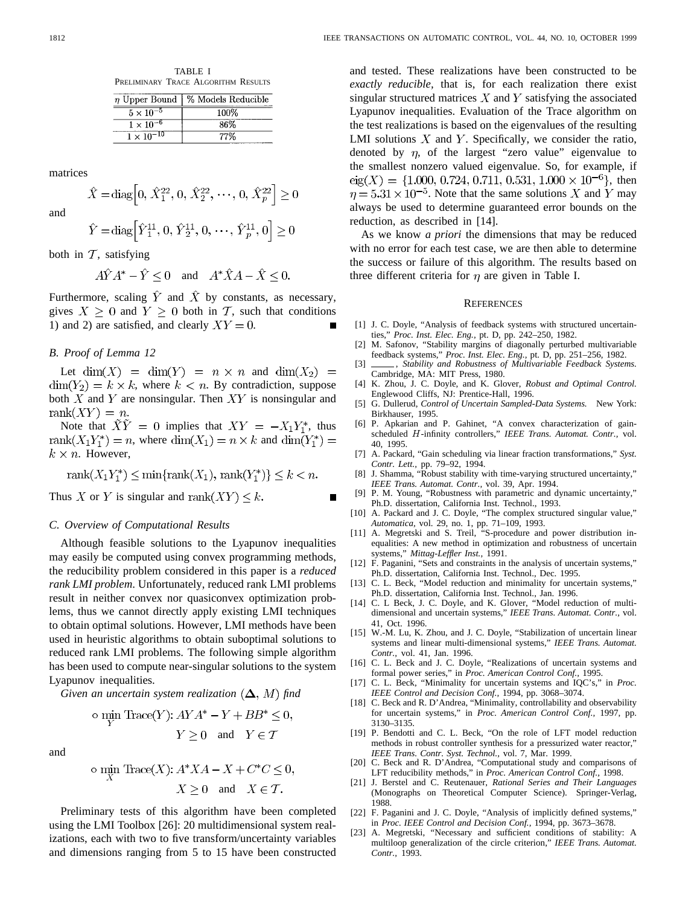TABLE I PRELIMINARY TRACE ALGORITHM RESULTS  $\frac{1}{2}$   $\frac{1}{2}$   $\frac{1}{2}$   $\frac{1}{2}$   $\frac{1}{2}$   $\frac{1}{2}$ 

|                     | $\eta$ Upper Bound   % Models Reducible |
|---------------------|-----------------------------------------|
| $5 \times 10^{-5}$  | 100%                                    |
| $1 \times 10^{-6}$  | 86%                                     |
| $1 \times 10^{-10}$ | 77%                                     |

matrices

and

$$
\hat{X} = \text{diag}\left[0, \, \hat{X}_1^{22}, \, 0, \, \hat{X}_2^{22}, \, \cdots, \, 0, \, \hat{X}_p^{22}\right] \ge
$$

 $\overline{0}$ 

$$
\hat{Y} = \text{diag}\Big[\hat{Y}_1^{11}, 0, \hat{Y}_2^{11}, 0, \dots, \hat{Y}_p^{11}, 0\Big] \ge 0
$$

both in  $T$ , satisfying

$$
A\hat{Y}A^* - \hat{Y} \le 0 \quad \text{and} \quad A^*\hat{X}A - \hat{X} \le 0.
$$

Furthermore, scaling  $\hat{Y}$  and  $\hat{X}$  by constants, as necessary, gives  $X \geq 0$  and  $Y \geq 0$  both in T, such that conditions 1) and 2) are satisfied, and clearly  $XY = 0$ .

# *B. Proof of Lemma 12*

Let  $\dim(X) = \dim(Y) = n \times n$  and  $\dim(X_2) =$  $\dim(Y_2) = k \times k$ , where  $k < n$ . By contradiction, suppose both  $X$  and  $Y$  are nonsingular. Then  $XY$  is nonsingular and rank $(XY) = n$ .

Note that  $XY = 0$  implies that  $XY = -X_1Y_1^*$ , thus rank $(X_1 Y_1^*) = n$ , where  $\dim(X_1) = n \times k$  and  $\dim(Y_1^*) =$  $k \times n$ . However,

$$
rank(X_1Y_1^*) \leq min\{rank(X_1), rank(Y_1^*)\} \leq k < n.
$$

Thus X or Y is singular and rank $(XY) \leq k$ .

#### *C. Overview of Computational Results*

Although feasible solutions to the Lyapunov inequalities may easily be computed using convex programming methods, the reducibility problem considered in this paper is a *reduced rank LMI problem*. Unfortunately, reduced rank LMI problems result in neither convex nor quasiconvex optimization problems, thus we cannot directly apply existing LMI techniques to obtain optimal solutions. However, LMI methods have been used in heuristic algorithms to obtain suboptimal solutions to reduced rank LMI problems. The following simple algorithm has been used to compute near-singular solutions to the system Lyapunov inequalities.

*Given an uncertain system realization*  $(\Delta, M)$  find

$$
\circ \min_{Y} \text{Trace}(Y): AYA^* - Y + BB^* \le 0,
$$
  

$$
Y \ge 0 \quad \text{and} \quad Y \in \mathcal{T}
$$

and

$$
\label{eq:1.1} \begin{split} \text{o} \ \underset{X}{\text{min}} \ \text{Trace}(X) \text{:} \ A^*XA-X+C^*C\leq 0, \\ X\geq 0 \quad \text{and} \quad X\in\mathcal{T}. \end{split}
$$

Preliminary tests of this algorithm have been completed using the LMI Toolbox [26]: 20 multidimensional system realizations, each with two to five transform/uncertainty variables and dimensions ranging from 5 to 15 have been constructed and tested. These realizations have been constructed to be *exactly reducible,* that is, for each realization there exist singular structured matrices  $X$  and  $Y$  satisfying the associated Lyapunov inequalities. Evaluation of the Trace algorithm on the test realizations is based on the eigenvalues of the resulting LMI solutions  $X$  and  $Y$ . Specifically, we consider the ratio, denoted by  $\eta$ , of the largest "zero value" eigenvalue to the smallest nonzero valued eigenvalue. So, for example, if  $eig(X) = \{1.000, 0.724, 0.711, 0.531, 1.000 \times 10^{-6}\},\$ then  $\eta = 5.31 \times 10^{-5}$ . Note that the same solutions X and Y may always be used to determine guaranteed error bounds on the reduction, as described in [14].

As we know *a priori* the dimensions that may be reduced with no error for each test case, we are then able to determine the success or failure of this algorithm. The results based on three different criteria for  $\eta$  are given in Table I.

#### **REFERENCES**

- [1] J. C. Doyle, "Analysis of feedback systems with structured uncertainties," *Proc. Inst. Elec. Eng.,* pt. D, pp. 242–250, 1982.
- [2] M. Safonov, "Stability margins of diagonally perturbed multivariable feedback systems," *Proc. Inst. Elec. Eng.,* pt. D, pp. 251–256, 1982.
- [3] \_\_\_\_\_, *Stability and Robustness of Multivariable Feedback Systems.* Cambridge, MA: MIT Press, 1980.
- [4] K. Zhou, J. C. Doyle, and K. Glover, *Robust and Optimal Control.* Englewood Cliffs, NJ: Prentice-Hall, 1996.
- [5] G. Dullerud, *Control of Uncertain Sampled-Data Systems.* New York: Birkhauser, 1995.
- [6] P. Apkarian and P. Gahinet, "A convex characterization of gainscheduled H-infinity controllers," *IEEE Trans. Automat. Contr.,* vol. 40, 1995.
- [7] A. Packard, "Gain scheduling via linear fraction transformations," *Syst. Contr. Lett.,* pp. 79–92, 1994.
- [8] J. Shamma, "Robust stability with time-varying structured uncertainty," *IEEE Trans. Automat. Contr.,* vol. 39, Apr. 1994.
- [9] P. M. Young, "Robustness with parametric and dynamic uncertainty," Ph.D. dissertation, California Inst. Technol., 1993.
- [10] A. Packard and J. C. Doyle, "The complex structured singular value," *Automatica,* vol. 29, no. 1, pp. 71–109, 1993.
- [11] A. Megretski and S. Treil, "S-procedure and power distribution inequalities: A new method in optimization and robustness of uncertain systems," *Mittag-Leffler Inst.,* 1991.
- [12] F. Paganini, "Sets and constraints in the analysis of uncertain systems," Ph.D. dissertation, California Inst. Technol., Dec. 1995.
- [13] C. L. Beck, "Model reduction and minimality for uncertain systems," Ph.D. dissertation, California Inst. Technol., Jan. 1996.
- [14] C. L Beck, J. C. Doyle, and K. Glover, "Model reduction of multidimensional and uncertain systems," *IEEE Trans. Automat. Contr.,* vol. 41, Oct. 1996.
- [15] W.-M. Lu, K. Zhou, and J. C. Doyle, "Stabilization of uncertain linear systems and linear multi-dimensional systems," *IEEE Trans. Automat. Contr.,* vol. 41, Jan. 1996.
- [16] C. L. Beck and J. C. Doyle, "Realizations of uncertain systems and formal power series," in *Proc. American Control Conf.,* 1995.
- [17] C. L. Beck, "Minimality for uncertain systems and IQC's," in *Proc. IEEE Control and Decision Conf.,* 1994, pp. 3068–3074.
- [18] C. Beck and R. D'Andrea, "Minimality, controllability and observability for uncertain systems," in *Proc. American Control Conf.,* 1997, pp. 3130–3135.
- [19] P. Bendotti and C. L. Beck, "On the role of LFT model reduction methods in robust controller synthesis for a pressurized water reactor," *IEEE Trans. Contr. Syst. Technol.,* vol. 7, Mar. 1999.
- [20] C. Beck and R. D'Andrea, "Computational study and comparisons of LFT reducibility methods," in *Proc. American Control Conf.,* 1998.
- [21] J. Berstel and C. Reutenauer, *Rational Series and Their Languages* (Monographs on Theoretical Computer Science). Springer-Verlag, 1988.
- [22] F. Paganini and J. C. Doyle, "Analysis of implicitly defined systems," in *Proc. IEEE Control and Decision Conf.,* 1994, pp. 3673–3678.
- [23] A. Megretski, "Necessary and sufficient conditions of stability: A multiloop generalization of the circle criterion," *IEEE Trans. Automat. Contr.,* 1993.